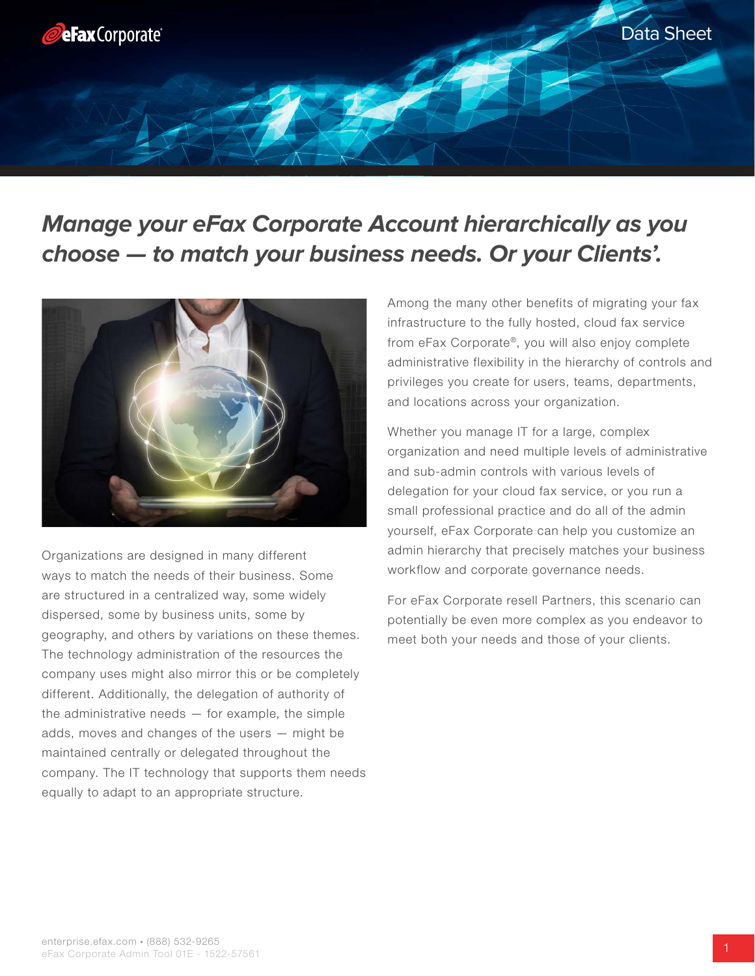

# **Manage your eFax Corporate Account hierarchically as you choose — to match your business needs. Or your Clients'.**



Organizations are designed in many different ways to match the needs of their business. Some are structured in a centralized way, some widely dispersed, some by business units, some by geography, and others by variations on these themes. The technology administration of the resources the company uses might also mirror this or be completely different. Additionally, the delegation of authority of the administrative needs  $-$  for example, the simple adds, moves and changes of the users — might be maintained centrally or delegated throughout the company. The IT technology that supports them needs equally to adapt to an appropriate structure.

Among the many other benefits of migrating your fax infrastructure to the fully hosted, cloud fax service from eFax Corporate®, you will also enjoy complete administrative flexibility in the hierarchy of controls and privileges you create for users, teams, departments, and locations across your organization.

Whether you manage IT for a large, complex organization and need multiple levels of administrative and sub-admin controls with various levels of delegation for your cloud fax service, or you run a small professional practice and do all of the admin yourself, eFax Corporate can help you customize an admin hierarchy that precisely matches your business workflow and corporate governance needs.

For eFax Corporate resell Partners, this scenario can potentially be even more complex as you endeavor to meet both your needs and those of your clients.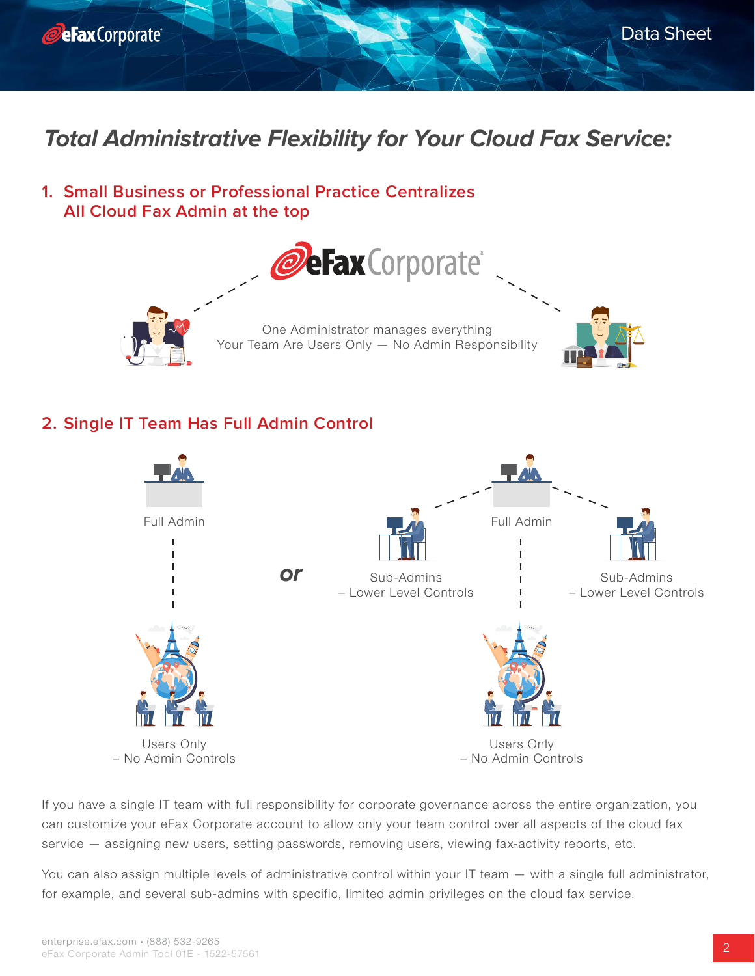

# **Total Administrative Flexibility for Your Cloud Fax Service:**

**1. Small Business or Professional Practice Centralizes All Cloud Fax Admin at the top**



### **2. Single IT Team Has Full Admin Control**



If you have a single IT team with full responsibility for corporate governance across the entire organization, you can customize your eFax Corporate account to allow only your team control over all aspects of the cloud fax service — assigning new users, setting passwords, removing users, viewing fax-activity reports, etc.

You can also assign multiple levels of administrative control within your IT team — with a single full administrator, for example, and several sub-admins with specific, limited admin privileges on the cloud fax service.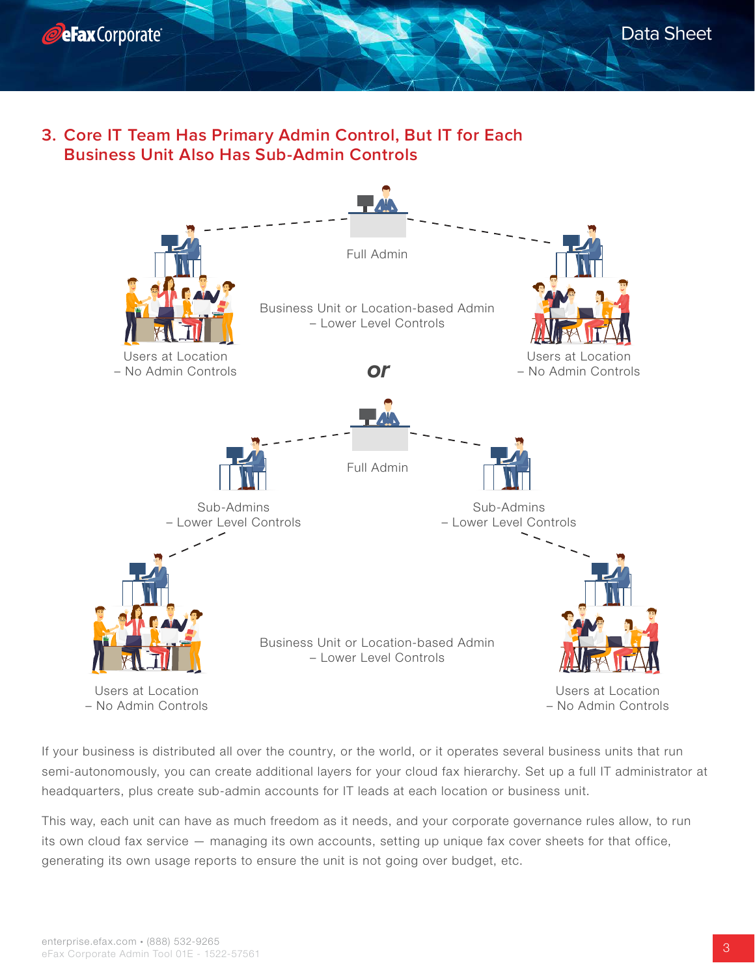



**3. Core IT Team Has Primary Admin Control, But IT for Each Business Unit Also Has Sub-Admin Controls**



If your business is distributed all over the country, or the world, or it operates several business units that run semi-autonomously, you can create additional layers for your cloud fax hierarchy. Set up a full IT administrator at headquarters, plus create sub-admin accounts for IT leads at each location or business unit.

This way, each unit can have as much freedom as it needs, and your corporate governance rules allow, to run its own cloud fax service — managing its own accounts, setting up unique fax cover sheets for that office, generating its own usage reports to ensure the unit is not going over budget, etc.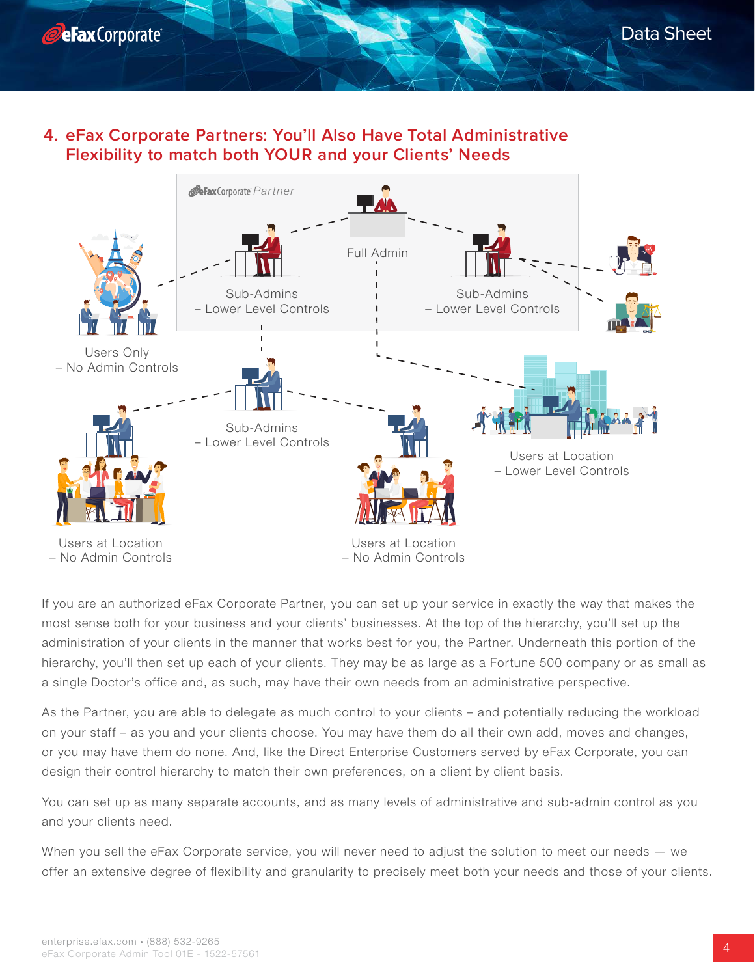

### **4. eFax Corporate Partners: You'll Also Have Total Administrative Flexibility to match both YOUR and your Clients' Needs**



If you are an authorized eFax Corporate Partner, you can set up your service in exactly the way that makes the most sense both for your business and your clients' businesses. At the top of the hierarchy, you'll set up the administration of your clients in the manner that works best for you, the Partner. Underneath this portion of the hierarchy, you'll then set up each of your clients. They may be as large as a Fortune 500 company or as small as a single Doctor's office and, as such, may have their own needs from an administrative perspective.

As the Partner, you are able to delegate as much control to your clients – and potentially reducing the workload on your staff – as you and your clients choose. You may have them do all their own add, moves and changes, or you may have them do none. And, like the Direct Enterprise Customers served by eFax Corporate, you can design their control hierarchy to match their own preferences, on a client by client basis.

You can set up as many separate accounts, and as many levels of administrative and sub-admin control as you and your clients need.

When you sell the eFax Corporate service, you will never need to adjust the solution to meet our needs – we offer an extensive degree of flexibility and granularity to precisely meet both your needs and those of your clients.